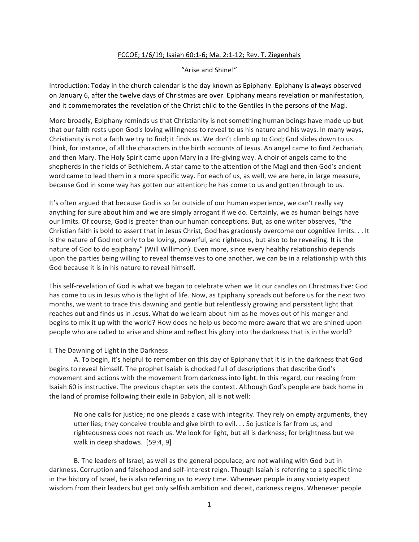## FCCOE; 1/6/19; Isaiah 60:1-6; Ma. 2:1-12; Rev. T. Ziegenhals

## "Arise and Shine!"

Introduction: Today in the church calendar is the day known as Epiphany. Epiphany is always observed on January 6, after the twelve days of Christmas are over. Epiphany means revelation or manifestation, and it commemorates the revelation of the Christ child to the Gentiles in the persons of the Magi.

More broadly, Epiphany reminds us that Christianity is not something human beings have made up but that our faith rests upon God's loving willingness to reveal to us his nature and his ways. In many ways, Christianity is not a faith we try to find; it finds us. We don't climb up to God; God slides down to us. Think, for instance, of all the characters in the birth accounts of Jesus. An angel came to find Zechariah, and then Mary. The Holy Spirit came upon Mary in a life-giving way. A choir of angels came to the shepherds in the fields of Bethlehem. A star came to the attention of the Magi and then God's ancient word came to lead them in a more specific way. For each of us, as well, we are here, in large measure, because God in some way has gotten our attention; he has come to us and gotten through to us.

It's often argued that because God is so far outside of our human experience, we can't really say anything for sure about him and we are simply arrogant if we do. Certainly, we as human beings have our limits. Of course, God is greater than our human conceptions. But, as one writer observes, "the Christian faith is bold to assert that in Jesus Christ, God has graciously overcome our cognitive limits.  $\dots$  It is the nature of God not only to be loving, powerful, and righteous, but also to be revealing. It is the nature of God to do epiphany" (Will Willimon). Even more, since every healthy relationship depends upon the parties being willing to reveal themselves to one another, we can be in a relationship with this God because it is in his nature to reveal himself.

This self-revelation of God is what we began to celebrate when we lit our candles on Christmas Eve: God has come to us in Jesus who is the light of life. Now, as Epiphany spreads out before us for the next two months, we want to trace this dawning and gentle but relentlessly growing and persistent light that reaches out and finds us in Jesus. What do we learn about him as he moves out of his manger and begins to mix it up with the world? How does he help us become more aware that we are shined upon people who are called to arise and shine and reflect his glory into the darkness that is in the world?

## I. The Dawning of Light in the Darkness

A. To begin, it's helpful to remember on this day of Epiphany that it is in the darkness that God begins to reveal himself. The prophet Isaiah is chocked full of descriptions that describe God's movement and actions with the movement from darkness into light. In this regard, our reading from Isaiah 60 is instructive. The previous chapter sets the context. Although God's people are back home in the land of promise following their exile in Babylon, all is not well:

No one calls for justice; no one pleads a case with integrity. They rely on empty arguments, they utter lies; they conceive trouble and give birth to evil.  $\ldots$  So justice is far from us, and righteousness does not reach us. We look for light, but all is darkness; for brightness but we walk in deep shadows. [59:4, 9]

B. The leaders of Israel, as well as the general populace, are not walking with God but in darkness. Corruption and falsehood and self-interest reign. Though Isaiah is referring to a specific time in the history of Israel, he is also referring us to *every* time. Whenever people in any society expect wisdom from their leaders but get only selfish ambition and deceit, darkness reigns. Whenever people